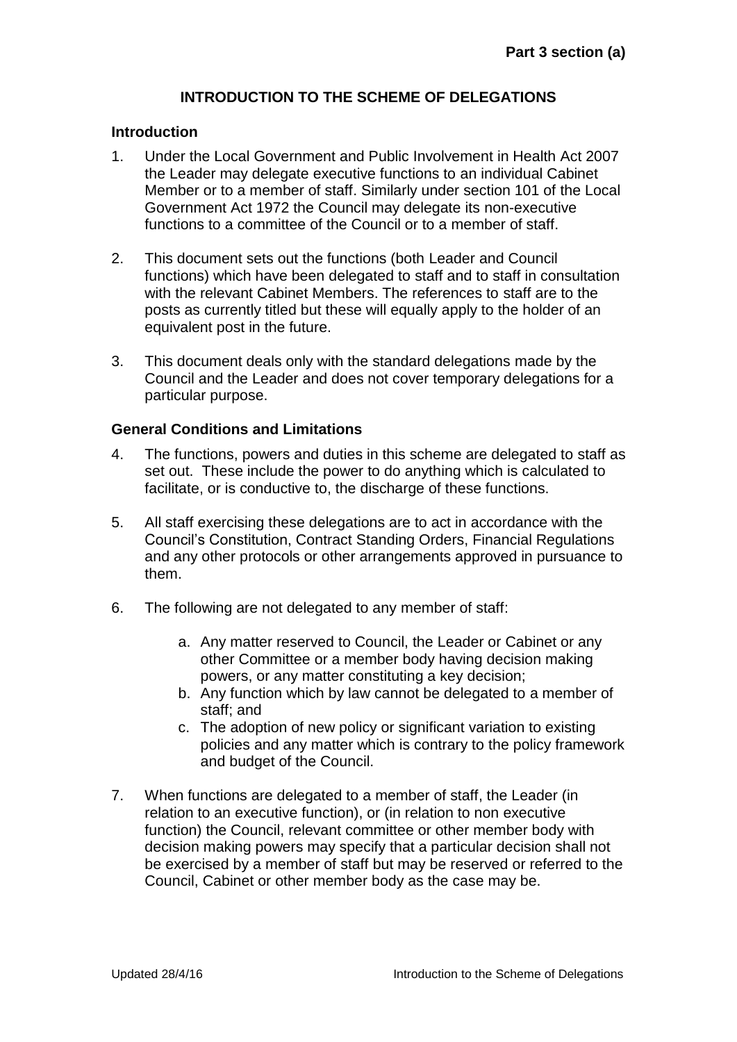## **INTRODUCTION TO THE SCHEME OF DELEGATIONS**

#### **Introduction**

- 1. Under the Local Government and Public Involvement in Health Act 2007 the Leader may delegate executive functions to an individual Cabinet Member or to a member of staff. Similarly under section 101 of the Local Government Act 1972 the Council may delegate its non-executive functions to a committee of the Council or to a member of staff.
- 2. This document sets out the functions (both Leader and Council functions) which have been delegated to staff and to staff in consultation with the relevant Cabinet Members. The references to staff are to the posts as currently titled but these will equally apply to the holder of an equivalent post in the future.
- 3. This document deals only with the standard delegations made by the Council and the Leader and does not cover temporary delegations for a particular purpose.

### **General Conditions and Limitations**

- 4. The functions, powers and duties in this scheme are delegated to staff as set out. These include the power to do anything which is calculated to facilitate, or is conductive to, the discharge of these functions.
- 5. All staff exercising these delegations are to act in accordance with the Council's Constitution, Contract Standing Orders, Financial Regulations and any other protocols or other arrangements approved in pursuance to them.
- 6. The following are not delegated to any member of staff:
	- a. Any matter reserved to Council, the Leader or Cabinet or any other Committee or a member body having decision making powers, or any matter constituting a key decision;
	- b. Any function which by law cannot be delegated to a member of staff; and
	- c. The adoption of new policy or significant variation to existing policies and any matter which is contrary to the policy framework and budget of the Council.
- 7. When functions are delegated to a member of staff, the Leader (in relation to an executive function), or (in relation to non executive function) the Council, relevant committee or other member body with decision making powers may specify that a particular decision shall not be exercised by a member of staff but may be reserved or referred to the Council, Cabinet or other member body as the case may be.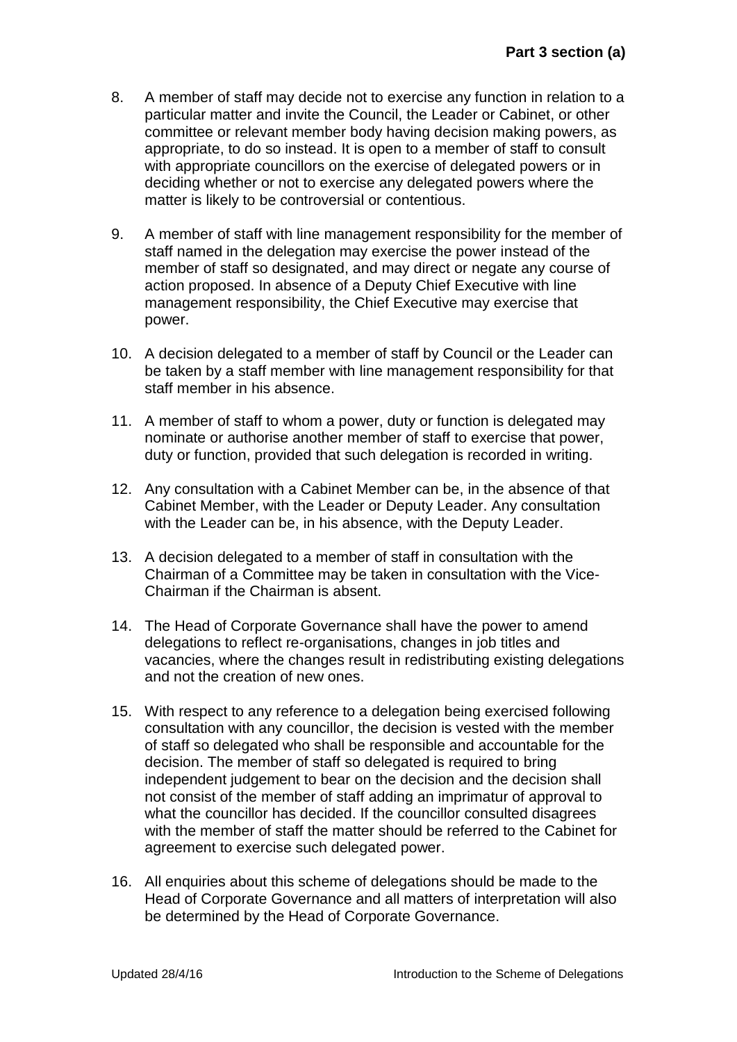- 8. A member of staff may decide not to exercise any function in relation to a particular matter and invite the Council, the Leader or Cabinet, or other committee or relevant member body having decision making powers, as appropriate, to do so instead. It is open to a member of staff to consult with appropriate councillors on the exercise of delegated powers or in deciding whether or not to exercise any delegated powers where the matter is likely to be controversial or contentious.
- 9. A member of staff with line management responsibility for the member of staff named in the delegation may exercise the power instead of the member of staff so designated, and may direct or negate any course of action proposed. In absence of a Deputy Chief Executive with line management responsibility, the Chief Executive may exercise that power.
- 10. A decision delegated to a member of staff by Council or the Leader can be taken by a staff member with line management responsibility for that staff member in his absence.
- 11. A member of staff to whom a power, duty or function is delegated may nominate or authorise another member of staff to exercise that power, duty or function, provided that such delegation is recorded in writing.
- 12. Any consultation with a Cabinet Member can be, in the absence of that Cabinet Member, with the Leader or Deputy Leader. Any consultation with the Leader can be, in his absence, with the Deputy Leader.
- 13. A decision delegated to a member of staff in consultation with the Chairman of a Committee may be taken in consultation with the Vice-Chairman if the Chairman is absent.
- 14. The Head of Corporate Governance shall have the power to amend delegations to reflect re-organisations, changes in job titles and vacancies, where the changes result in redistributing existing delegations and not the creation of new ones.
- 15. With respect to any reference to a delegation being exercised following consultation with any councillor, the decision is vested with the member of staff so delegated who shall be responsible and accountable for the decision. The member of staff so delegated is required to bring independent judgement to bear on the decision and the decision shall not consist of the member of staff adding an imprimatur of approval to what the councillor has decided. If the councillor consulted disagrees with the member of staff the matter should be referred to the Cabinet for agreement to exercise such delegated power.
- 16. All enquiries about this scheme of delegations should be made to the Head of Corporate Governance and all matters of interpretation will also be determined by the Head of Corporate Governance.